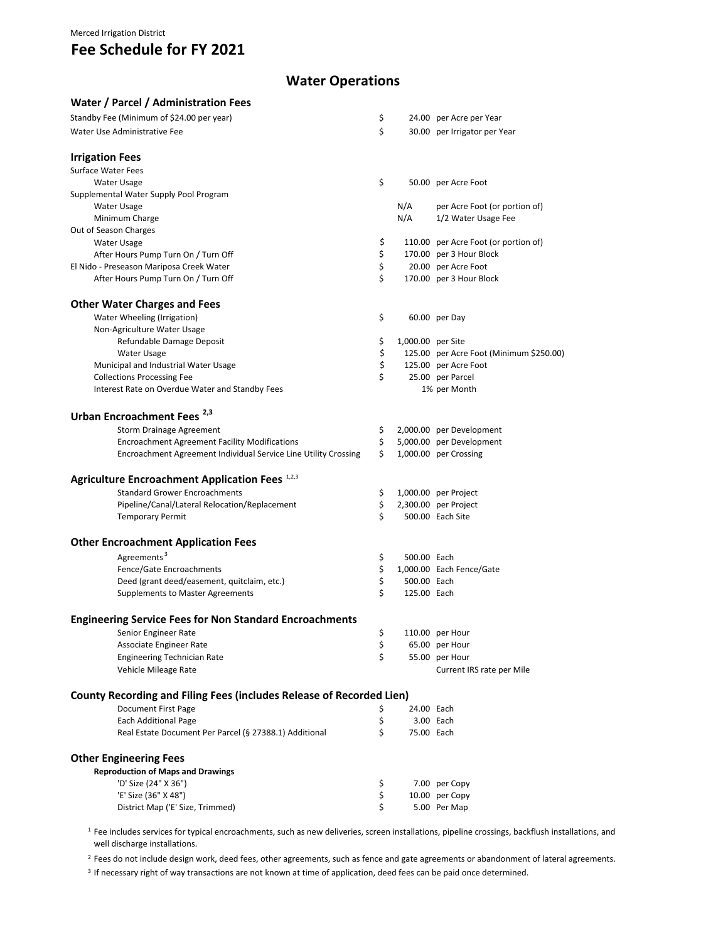### Merced Irrigation District

## **Fee Schedule for FY 2021**

## **Water Operations**

| Water / Parcel / Administration Fees                                 |     |                   |                                         |
|----------------------------------------------------------------------|-----|-------------------|-----------------------------------------|
| Standby Fee (Minimum of \$24.00 per year)                            | \$  |                   | 24.00 per Acre per Year                 |
| Water Use Administrative Fee                                         | \$  |                   | 30.00 per Irrigator per Year            |
|                                                                      |     |                   |                                         |
| <b>Irrigation Fees</b>                                               |     |                   |                                         |
| <b>Surface Water Fees</b>                                            | \$  |                   |                                         |
| Water Usage                                                          |     |                   | 50.00 per Acre Foot                     |
| Supplemental Water Supply Pool Program                               |     | N/A               |                                         |
| Water Usage                                                          |     | N/A               | per Acre Foot (or portion of)           |
| Minimum Charge<br>Out of Season Charges                              |     |                   | 1/2 Water Usage Fee                     |
| <b>Water Usage</b>                                                   | \$  |                   | 110.00 per Acre Foot (or portion of)    |
| After Hours Pump Turn On / Turn Off                                  | \$  |                   | 170.00 per 3 Hour Block                 |
| El Nido - Preseason Mariposa Creek Water                             | \$  |                   | 20.00 per Acre Foot                     |
| After Hours Pump Turn On / Turn Off                                  | \$  |                   | 170.00 per 3 Hour Block                 |
|                                                                      |     |                   |                                         |
| <b>Other Water Charges and Fees</b>                                  |     |                   |                                         |
| Water Wheeling (Irrigation)                                          | \$  |                   | 60.00 per Day                           |
| Non-Agriculture Water Usage                                          |     |                   |                                         |
| Refundable Damage Deposit                                            | \$  | 1,000.00 per Site |                                         |
| <b>Water Usage</b>                                                   | \$  |                   | 125.00 per Acre Foot (Minimum \$250.00) |
| Municipal and Industrial Water Usage                                 | \$  |                   | 125.00 per Acre Foot                    |
| <b>Collections Processing Fee</b>                                    | \$  |                   | 25.00 per Parcel                        |
| Interest Rate on Overdue Water and Standby Fees                      |     |                   | 1% per Month                            |
| Urban Encroachment Fees <sup>2,3</sup>                               |     |                   |                                         |
| Storm Drainage Agreement                                             | \$. |                   | 2,000.00 per Development                |
| <b>Encroachment Agreement Facility Modifications</b>                 | \$  |                   | 5,000.00 per Development                |
| Encroachment Agreement Individual Service Line Utility Crossing      | Ś.  |                   | 1,000.00 per Crossing                   |
| Agriculture Encroachment Application Fees 1,2,3                      |     |                   |                                         |
| <b>Standard Grower Encroachments</b>                                 | \$  |                   | 1,000.00 per Project                    |
| Pipeline/Canal/Lateral Relocation/Replacement                        | \$  |                   | 2,300.00 per Project                    |
| <b>Temporary Permit</b>                                              | Ś.  |                   | 500.00 Each Site                        |
| <b>Other Encroachment Application Fees</b>                           |     |                   |                                         |
|                                                                      |     |                   |                                         |
| Agreements <sup>3</sup>                                              | \$  | 500.00 Each       |                                         |
| Fence/Gate Encroachments                                             | \$  |                   | 1,000.00 Each Fence/Gate                |
| Deed (grant deed/easement, quitclaim, etc.)                          | \$  | 500.00 Each       |                                         |
| Supplements to Master Agreements                                     | Ś   | 125.00 Each       |                                         |
| <b>Engineering Service Fees for Non Standard Encroachments</b>       |     |                   |                                         |
| Senior Engineer Rate                                                 | \$  |                   | 110.00 per Hour                         |
| Associate Engineer Rate                                              | \$  |                   | 65.00 per Hour                          |
| <b>Engineering Technician Rate</b>                                   | \$  |                   | 55.00 per Hour                          |
| Vehicle Mileage Rate                                                 |     |                   | Current IRS rate per Mile               |
| County Recording and Filing Fees (includes Release of Recorded Lien) |     |                   |                                         |
| Document First Page                                                  | Ş   | 24.00 Each        |                                         |
| <b>Each Additional Page</b>                                          | \$  |                   | 3.00 Each                               |
| Real Estate Document Per Parcel (§ 27388.1) Additional               | \$  | 75.00 Each        |                                         |
| <b>Other Engineering Fees</b>                                        |     |                   |                                         |
| <b>Reproduction of Maps and Drawings</b>                             |     |                   |                                         |
| 'D' Size (24" X 36")                                                 | \$  |                   | 7.00 per Copy                           |
| 'E' Size (36" X 48")                                                 | \$  |                   | 10.00 per Copy                          |
| District Map ('E' Size, Trimmed)                                     | \$  |                   | 5.00 Per Map                            |
|                                                                      |     |                   |                                         |

<sup>1</sup> Fee includes services for typical encroachments, such as new deliveries, screen installations, pipeline crossings, backflush installations, and well discharge installations.

<sup>2</sup> Fees do not include design work, deed fees, other agreements, such as fence and gate agreements or abandonment of lateral agreements.

<sup>3</sup> If necessary right of way transactions are not known at time of application, deed fees can be paid once determined.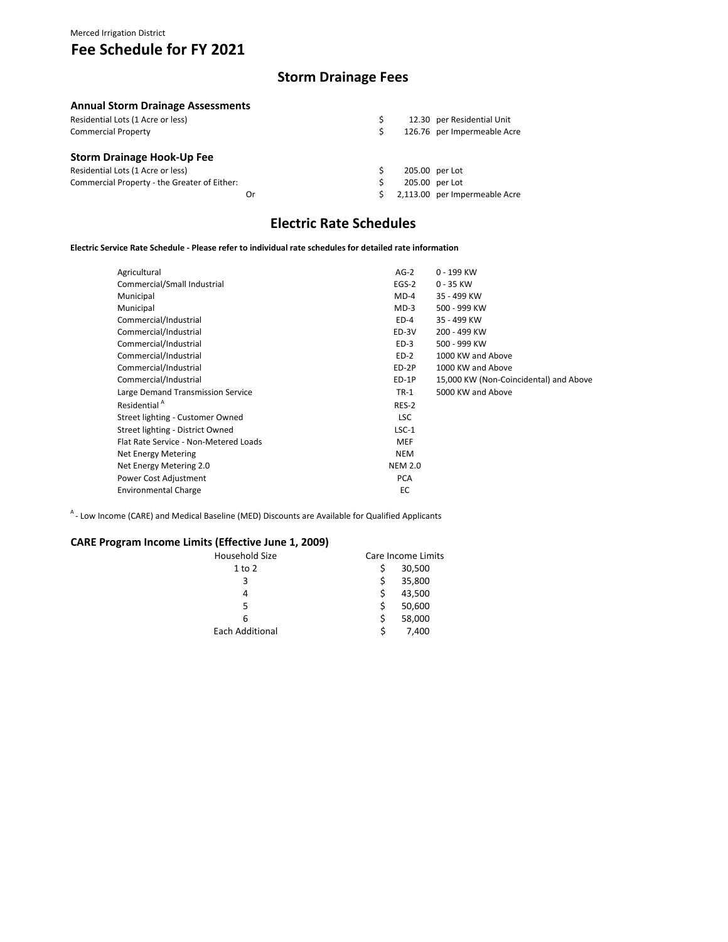# **Fee Schedule for FY 2021**

### **Storm Drainage Fees**

### **Annual Storm Drainage Assessments**

| Residential Lots (1 Acre or less)            |    |  | 12.30 per Residential Unit    |
|----------------------------------------------|----|--|-------------------------------|
| <b>Commercial Property</b>                   |    |  | 126.76 per Impermeable Acre   |
| <b>Storm Drainage Hook-Up Fee</b>            |    |  |                               |
| Residential Lots (1 Acre or less)            |    |  | 205.00 per Lot                |
| Commercial Property - the Greater of Either: |    |  | 205.00 per Lot                |
|                                              | Or |  | 2,113.00 per Impermeable Acre |

## **Electric Rate Schedules**

#### **Electric Service Rate Schedule ‐ Please refer to individual rate schedules for detailed rate information**

| Agricultural                          | $AG-2$         | 0 - 199 KW                             |
|---------------------------------------|----------------|----------------------------------------|
| Commercial/Small Industrial           | $EGS-2$        | $0 - 35$ KW                            |
| Municipal                             | $MD-4$         | 35 - 499 KW                            |
| Municipal                             | $MD-3$         | 500 - 999 KW                           |
| Commercial/Industrial                 | $ED-4$         | 35 - 499 KW                            |
| Commercial/Industrial                 | ED-3V          | 200 - 499 KW                           |
| Commercial/Industrial                 | $ED-3$         | 500 - 999 KW                           |
| Commercial/Industrial                 | $ED-2$         | 1000 KW and Above                      |
| Commercial/Industrial                 | ED-2P          | 1000 KW and Above                      |
| Commercial/Industrial                 | ED-1P          | 15,000 KW (Non-Coincidental) and Above |
| Large Demand Transmission Service     | $TR-1$         | 5000 KW and Above                      |
| Residential <sup>A</sup>              | RES-2          |                                        |
| Street lighting - Customer Owned      | <b>LSC</b>     |                                        |
| Street lighting - District Owned      | $LSC-1$        |                                        |
| Flat Rate Service - Non-Metered Loads | <b>MEF</b>     |                                        |
| Net Energy Metering                   | <b>NEM</b>     |                                        |
| Net Energy Metering 2.0               | <b>NEM 2.0</b> |                                        |
| Power Cost Adjustment                 | <b>PCA</b>     |                                        |
| <b>Environmental Charge</b>           | EC             |                                        |
|                                       |                |                                        |

A - Low Income (CARE) and Medical Baseline (MED) Discounts are Available for Qualified Applicants

### **CARE Program Income Limits (Effective June 1, 2009)**

| Household Size         | Care Income Limits |        |
|------------------------|--------------------|--------|
| $1$ to $2$             |                    | 30,500 |
| 3                      |                    | 35,800 |
| 4                      |                    | 43,500 |
| 5                      |                    | 50,600 |
| 6                      |                    | 58,000 |
| <b>Each Additional</b> |                    | 7,400  |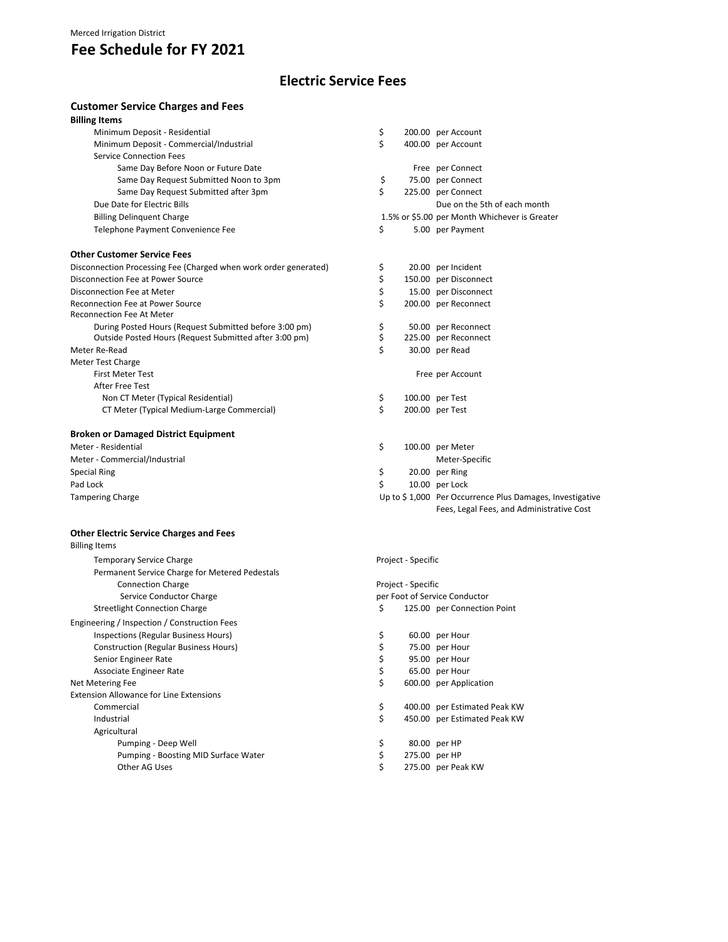## **Fee Schedule for FY 2021**

## **Electric Service Fees**

### **Customer Service Charges and Fees**

| <b>Billing Items</b>                                             |    |                                                          |
|------------------------------------------------------------------|----|----------------------------------------------------------|
| Minimum Deposit - Residential                                    | \$ | 200.00 per Account                                       |
| Minimum Deposit - Commercial/Industrial                          | \$ | 400.00 per Account                                       |
| <b>Service Connection Fees</b>                                   |    |                                                          |
| Same Day Before Noon or Future Date                              |    | Free per Connect                                         |
| Same Day Request Submitted Noon to 3pm                           | \$ | 75.00 per Connect                                        |
| Same Day Request Submitted after 3pm                             | Ś. | 225.00 per Connect                                       |
| Due Date for Electric Bills                                      |    | Due on the 5th of each month                             |
| <b>Billing Delinquent Charge</b>                                 |    | 1.5% or \$5.00 per Month Whichever is Greater            |
| Telephone Payment Convenience Fee                                | \$ | 5.00 per Payment                                         |
| <b>Other Customer Service Fees</b>                               |    |                                                          |
| Disconnection Processing Fee (Charged when work order generated) | Ş  | 20.00 per Incident                                       |
| <b>Disconnection Fee at Power Source</b>                         | \$ | 150.00 per Disconnect                                    |
| Disconnection Fee at Meter                                       | \$ | 15.00 per Disconnect                                     |
| <b>Reconnection Fee at Power Source</b>                          | Ś  | 200.00 per Reconnect                                     |
| <b>Reconnection Fee At Meter</b>                                 |    |                                                          |
| During Posted Hours (Request Submitted before 3:00 pm)           | \$ | 50.00 per Reconnect                                      |
| Outside Posted Hours (Request Submitted after 3:00 pm)           | \$ | 225.00 per Reconnect                                     |
| Meter Re-Read                                                    | \$ | 30.00 per Read                                           |
| <b>Meter Test Charge</b>                                         |    |                                                          |
| <b>First Meter Test</b>                                          |    | Free per Account                                         |
| After Free Test                                                  |    |                                                          |
| Non CT Meter (Typical Residential)                               | \$ | 100.00 per Test                                          |
| CT Meter (Typical Medium-Large Commercial)                       | Ś. | 200.00 per Test                                          |
| <b>Broken or Damaged District Equipment</b>                      |    |                                                          |
| Meter - Residential                                              | \$ | 100.00 per Meter                                         |
| Meter - Commercial/Industrial                                    |    | Meter-Specific                                           |
| <b>Special Ring</b>                                              | \$ | 20.00 per Ring                                           |
| Pad Lock                                                         | \$ | 10.00 per Lock                                           |
| <b>Tampering Charge</b>                                          |    | Up to \$1,000 Per Occurrence Plus Damages, Investigative |
|                                                                  |    | Fees, Legal Fees, and Administrative Cost                |

#### **Other Electric Service Charges and Fees**

| <b>Billing Items</b>                           |                               |                              |  |  |  |
|------------------------------------------------|-------------------------------|------------------------------|--|--|--|
| <b>Temporary Service Charge</b>                |                               | Project - Specific           |  |  |  |
| Permanent Service Charge for Metered Pedestals |                               |                              |  |  |  |
| <b>Connection Charge</b>                       | Project - Specific            |                              |  |  |  |
| Service Conductor Charge                       | per Foot of Service Conductor |                              |  |  |  |
| <b>Streetlight Connection Charge</b>           | \$                            | 125.00 per Connection Point  |  |  |  |
| Engineering / Inspection / Construction Fees   |                               |                              |  |  |  |
| Inspections (Regular Business Hours)           | \$                            | 60.00 per Hour               |  |  |  |
| <b>Construction (Regular Business Hours)</b>   |                               | 75.00 per Hour               |  |  |  |
| Senior Engineer Rate                           |                               | 95.00 per Hour               |  |  |  |
| Associate Engineer Rate                        | \$                            | 65.00 per Hour               |  |  |  |
| Net Metering Fee                               | \$                            | 600.00 per Application       |  |  |  |
| <b>Extension Allowance for Line Extensions</b> |                               |                              |  |  |  |
| Commercial                                     | \$                            | 400.00 per Estimated Peak KW |  |  |  |
| Industrial                                     | \$                            | 450.00 per Estimated Peak KW |  |  |  |
| Agricultural                                   |                               |                              |  |  |  |
| Pumping - Deep Well                            | \$                            | 80.00 per HP                 |  |  |  |
| Pumping - Boosting MID Surface Water           | \$                            | 275.00 per HP                |  |  |  |
| Other AG Uses                                  | \$                            | 275.00 per Peak KW           |  |  |  |
|                                                |                               |                              |  |  |  |